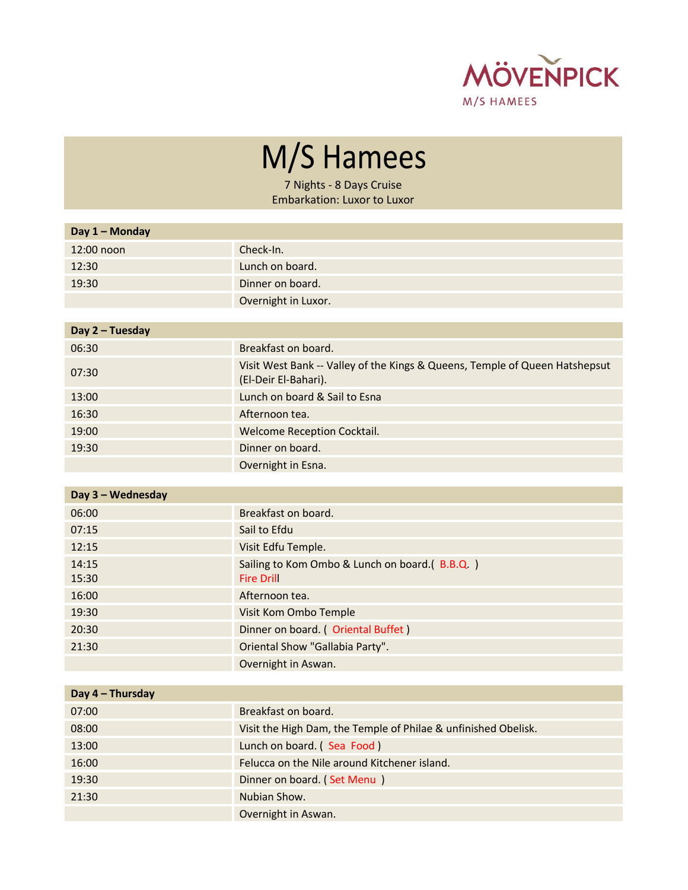

M/S Hamees

7 Nights - 8 Days Cruise Embarkation: Luxor to Luxor

| Day 1 - Monday  |                                                                                                     |
|-----------------|-----------------------------------------------------------------------------------------------------|
| 12:00 noon      | Check-In.                                                                                           |
| 12:30           | Lunch on board.                                                                                     |
| 19:30           | Dinner on board.                                                                                    |
|                 | Overnight in Luxor.                                                                                 |
|                 |                                                                                                     |
| Day 2 - Tuesday |                                                                                                     |
| 06:30           | Breakfast on board.                                                                                 |
| 07:30           | Visit West Bank -- Valley of the Kings & Queens, Temple of Queen Hatshepsut<br>(El-Deir El-Bahari). |
| 13:00           | Lunch on board & Sail to Esna                                                                       |
| 16:30           | Afternoon tea.                                                                                      |
| 19:00           | <b>Welcome Reception Cocktail.</b>                                                                  |
| 19:30           | Dinner on board.                                                                                    |
|                 | Overnight in Esna.                                                                                  |

| Day 3 - Wednesday |                                               |
|-------------------|-----------------------------------------------|
| 06:00             | Breakfast on board.                           |
| 07:15             | Sail to Efdu                                  |
| 12:15             | Visit Edfu Temple.                            |
| 14:15             | Sailing to Kom Ombo & Lunch on board.(B.B.Q.) |
| 15:30             | <b>Fire Drill</b>                             |
| 16:00             | Afternoon tea.                                |
| 19:30             | Visit Kom Ombo Temple                         |
| 20:30             | Dinner on board. (Oriental Buffet)            |
| 21:30             | Oriental Show "Gallabia Party".               |
|                   | Overnight in Aswan.                           |

| Day 4 - Thursday |                                                                |
|------------------|----------------------------------------------------------------|
| 07:00            | Breakfast on board.                                            |
| 08:00            | Visit the High Dam, the Temple of Philae & unfinished Obelisk. |
| 13:00            | Lunch on board. (Sea Food)                                     |
| 16:00            | Felucca on the Nile around Kitchener island.                   |
| 19:30            | Dinner on board. (Set Menu)                                    |
| 21:30            | Nubian Show.                                                   |
|                  | Overnight in Aswan.                                            |